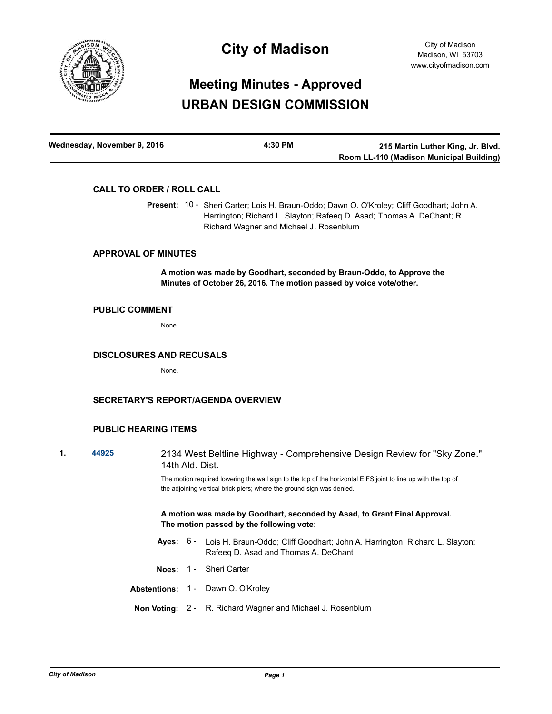

# **City of Madison**

# **Meeting Minutes - Approved URBAN DESIGN COMMISSION**

| Wednesday, November 9, 2016 | 4:30 PM | 215 Martin Luther King, Jr. Blvd.        |
|-----------------------------|---------|------------------------------------------|
|                             |         | Room LL-110 (Madison Municipal Building) |

# **CALL TO ORDER / ROLL CALL**

Present: 10 - Sheri Carter; Lois H. Braun-Oddo; Dawn O. O'Kroley; Cliff Goodhart; John A. Harrington; Richard L. Slayton; Rafeeq D. Asad; Thomas A. DeChant; R. Richard Wagner and Michael J. Rosenblum

# **APPROVAL OF MINUTES**

**A motion was made by Goodhart, seconded by Braun-Oddo, to Approve the Minutes of October 26, 2016. The motion passed by voice vote/other.**

#### **PUBLIC COMMENT**

None.

#### **DISCLOSURES AND RECUSALS**

None.

## **SECRETARY'S REPORT/AGENDA OVERVIEW**

### **PUBLIC HEARING ITEMS**

- 
- **1. [44925](http://madison.legistar.com/gateway.aspx?m=l&id=/matter.aspx?key=49055)** 2134 West Beltline Highway Comprehensive Design Review for "Sky Zone." 14th Ald. Dist.

The motion required lowering the wall sign to the top of the horizontal EIFS joint to line up with the top of the adjoining vertical brick piers; where the ground sign was denied.

**A motion was made by Goodhart, seconded by Asad, to Grant Final Approval. The motion passed by the following vote:**

- Ayes: 6 Lois H. Braun-Oddo; Cliff Goodhart; John A. Harrington; Richard L. Slayton; Rafeeq D. Asad and Thomas A. DeChant
- **Noes:** 1 Sheri Carter

**Abstentions:** 1 - Dawn O. O'Kroley

**Non Voting:** 2 - R. Richard Wagner and Michael J. Rosenblum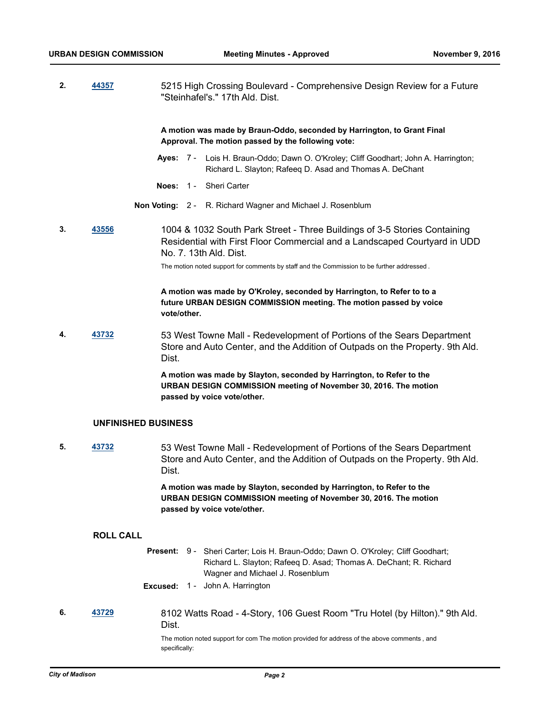**2. [44357](http://madison.legistar.com/gateway.aspx?m=l&id=/matter.aspx?key=48540)** 5215 High Crossing Boulevard - Comprehensive Design Review for a Future "Steinhafel's." 17th Ald. Dist.

> **A motion was made by Braun-Oddo, seconded by Harrington, to Grant Final Approval. The motion passed by the following vote:**

- Ayes: 7 Lois H. Braun-Oddo; Dawn O. O'Kroley; Cliff Goodhart; John A. Harrington; Richard L. Slayton; Rafeeq D. Asad and Thomas A. DeChant
- **Noes:** 1 Sheri Carter
- **Non Voting:** 2 R. Richard Wagner and Michael J. Rosenblum
- **3. [43556](http://madison.legistar.com/gateway.aspx?m=l&id=/matter.aspx?key=47764)** 1004 & 1032 South Park Street Three Buildings of 3-5 Stories Containing Residential with First Floor Commercial and a Landscaped Courtyard in UDD No. 7. 13th Ald. Dist.

The motion noted support for comments by staff and the Commission to be further addressed .

## **A motion was made by O'Kroley, seconded by Harrington, to Refer to to a future URBAN DESIGN COMMISSION meeting. The motion passed by voice vote/other.**

**4. [43732](http://madison.legistar.com/gateway.aspx?m=l&id=/matter.aspx?key=47938)** 53 West Towne Mall - Redevelopment of Portions of the Sears Department Store and Auto Center, and the Addition of Outpads on the Property. 9th Ald. Dist.

> **A motion was made by Slayton, seconded by Harrington, to Refer to the URBAN DESIGN COMMISSION meeting of November 30, 2016. The motion passed by voice vote/other.**

#### **UNFINISHED BUSINESS**

**5. [43732](http://madison.legistar.com/gateway.aspx?m=l&id=/matter.aspx?key=47938)** 53 West Towne Mall - Redevelopment of Portions of the Sears Department Store and Auto Center, and the Addition of Outpads on the Property. 9th Ald. Dist.

> **A motion was made by Slayton, seconded by Harrington, to Refer to the URBAN DESIGN COMMISSION meeting of November 30, 2016. The motion passed by voice vote/other.**

## **ROLL CALL**

- Present: 9 Sheri Carter; Lois H. Braun-Oddo; Dawn O. O'Kroley; Cliff Goodhart; Richard L. Slayton; Rafeeq D. Asad; Thomas A. DeChant; R. Richard Wagner and Michael J. Rosenblum
- **Excused:** 1 John A. Harrington
- **6. [43729](http://madison.legistar.com/gateway.aspx?m=l&id=/matter.aspx?key=47935)** 8102 Watts Road 4-Story, 106 Guest Room "Tru Hotel (by Hilton)." 9th Ald. Dist.

The motion noted support for com The motion provided for address of the above comments , and specifically: